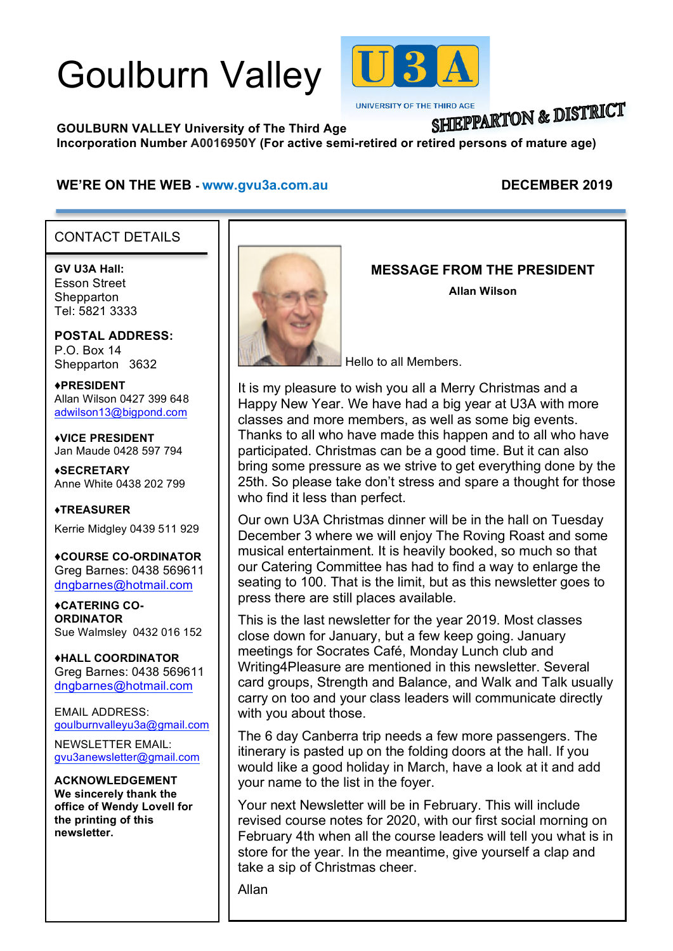# Goulburn Valley



**UNIVERSITY OF THE THIRD AGE** 

## **SHIEPPARTON & DISTRICT**

**GOULBURN VALLEY University of The Third Age Incorporation Number A0016950Y (For active semi-retired or retired persons of mature age)**

#### WE'RE ON THE WEB - www.gvu3a.com.au DECEMBER 2019

#### CONTACT DETAILS

**GV U3A Hall:** Esson Street **Shepparton** Tel: 5821 3333

i

**POSTAL ADDRESS:** P.O. Box 14 Shepparton 3632

♦**PRESIDENT** Allan Wilson 0427 399 648 adwilson13@bigpond.com

♦**VICE PRESIDENT** Jan Maude 0428 597 794

**♦SECRETARY** Anne White 0438 202 799

**♦TREASURER** Kerrie Midgley 0439 511 929

♦**COURSE CO-ORDINATOR** Greg Barnes: 0438 569611 dngbarnes@hotmail.com

♦**CATERING CO-ORDINATOR** Sue Walmsley 0432 016 152

♦**HALL COORDINATOR** Greg Barnes: 0438 569611 dngbarnes@hotmail.com

EMAIL ADDRESS: goulburnvalleyu3a@gmail.com

NEWSLETTER EMAIL: gvu3anewsletter@gmail.com

**ACKNOWLEDGEMENT We sincerely thank the office of Wendy Lovell for the printing of this newsletter.**



#### **MESSAGE FROM THE PRESIDENT**

**Allan Wilson**

Hello to all Members.

It is my pleasure to wish you all a Merry Christmas and a Happy New Year. We have had a big year at U3A with more classes and more members, as well as some big events. Thanks to all who have made this happen and to all who have participated. Christmas can be a good time. But it can also bring some pressure as we strive to get everything done by the 25th. So please take don't stress and spare a thought for those who find it less than perfect.

Our own U3A Christmas dinner will be in the hall on Tuesday December 3 where we will enjoy The Roving Roast and some musical entertainment. It is heavily booked, so much so that our Catering Committee has had to find a way to enlarge the seating to 100. That is the limit, but as this newsletter goes to press there are still places available.

This is the last newsletter for the year 2019. Most classes close down for January, but a few keep going. January meetings for Socrates Café, Monday Lunch club and Writing4Pleasure are mentioned in this newsletter. Several card groups, Strength and Balance, and Walk and Talk usually carry on too and your class leaders will communicate directly with you about those.

The 6 day Canberra trip needs a few more passengers. The itinerary is pasted up on the folding doors at the hall. If you would like a good holiday in March, have a look at it and add your name to the list in the foyer.

Your next Newsletter will be in February. This will include revised course notes for 2020, with our first social morning on February 4th when all the course leaders will tell you what is in store for the year. In the meantime, give yourself a clap and take a sip of Christmas cheer.

Allan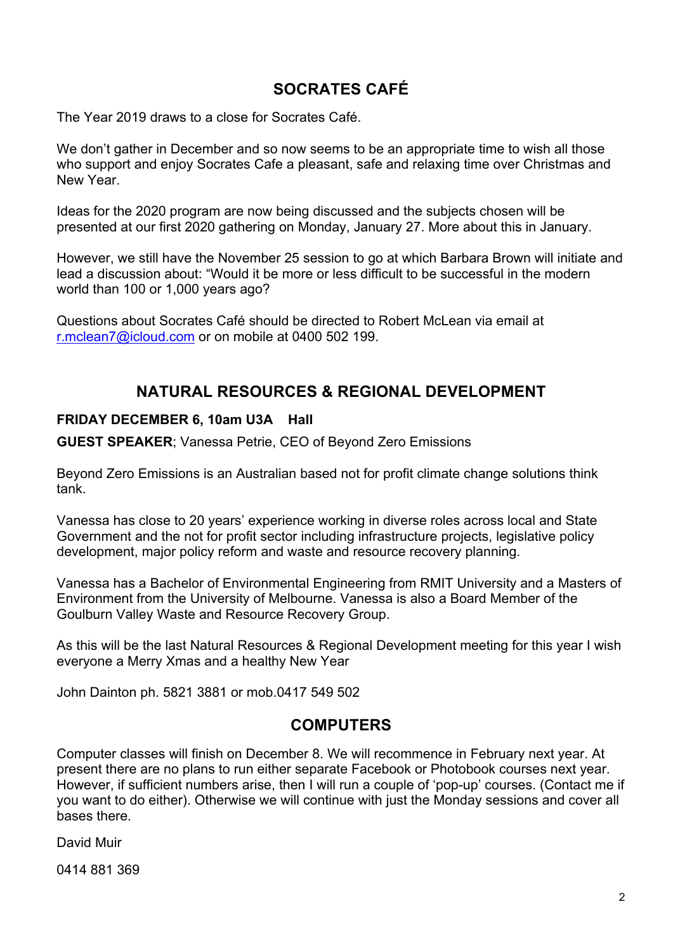### **SOCRATES CAFÉ**

The Year 2019 draws to a close for Socrates Café.

We don't gather in December and so now seems to be an appropriate time to wish all those who support and enjoy Socrates Cafe a pleasant, safe and relaxing time over Christmas and New Year.

Ideas for the 2020 program are now being discussed and the subjects chosen will be presented at our first 2020 gathering on Monday, January 27. More about this in January.

However, we still have the November 25 session to go at which Barbara Brown will initiate and lead a discussion about: "Would it be more or less difficult to be successful in the modern world than 100 or 1,000 years ago?

Questions about Socrates Café should be directed to Robert McLean via email at r.mclean7@icloud.com or on mobile at 0400 502 199.

#### **NATURAL RESOURCES & REGIONAL DEVELOPMENT**

#### **FRIDAY DECEMBER 6, 10am U3A Hall**

**GUEST SPEAKER**; Vanessa Petrie, CEO of Beyond Zero Emissions

Beyond Zero Emissions is an Australian based not for profit climate change solutions think tank.

Vanessa has close to 20 years' experience working in diverse roles across local and State Government and the not for profit sector including infrastructure projects, legislative policy development, major policy reform and waste and resource recovery planning.

Vanessa has a Bachelor of Environmental Engineering from RMIT University and a Masters of Environment from the University of Melbourne. Vanessa is also a Board Member of the Goulburn Valley Waste and Resource Recovery Group.

As this will be the last Natural Resources & Regional Development meeting for this year I wish everyone a Merry Xmas and a healthy New Year

John Dainton ph. 5821 3881 or mob.0417 549 502

#### **COMPUTERS**

Computer classes will finish on December 8. We will recommence in February next year. At present there are no plans to run either separate Facebook or Photobook courses next year. However, if sufficient numbers arise, then I will run a couple of 'pop-up' courses. (Contact me if you want to do either). Otherwise we will continue with just the Monday sessions and cover all bases there.

David Muir

0414 881 369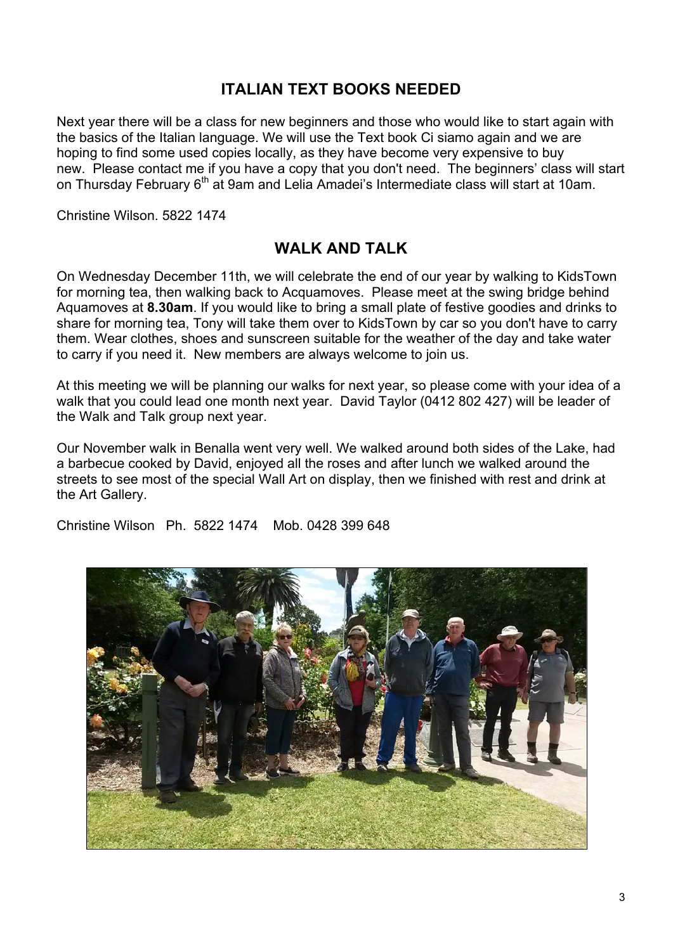#### **ITALIAN TEXT BOOKS NEEDED**

Next year there will be a class for new beginners and those who would like to start again with the basics of the Italian language. We will use the Text book Ci siamo again and we are hoping to find some used copies locally, as they have become very expensive to buy new. Please contact me if you have a copy that you don't need. The beginners' class will start on Thursday February 6<sup>th</sup> at 9am and Lelia Amadei's Intermediate class will start at 10am.

Christine Wilson. 5822 1474

#### **WALK AND TALK**

On Wednesday December 11th, we will celebrate the end of our year by walking to KidsTown for morning tea, then walking back to Acquamoves. Please meet at the swing bridge behind Aquamoves at **8.30am**. If you would like to bring a small plate of festive goodies and drinks to share for morning tea, Tony will take them over to KidsTown by car so you don't have to carry them. Wear clothes, shoes and sunscreen suitable for the weather of the day and take water to carry if you need it. New members are always welcome to join us.

At this meeting we will be planning our walks for next year, so please come with your idea of a walk that you could lead one month next year. David Taylor (0412 802 427) will be leader of the Walk and Talk group next year.

Our November walk in Benalla went very well. We walked around both sides of the Lake, had a barbecue cooked by David, enjoyed all the roses and after lunch we walked around the streets to see most of the special Wall Art on display, then we finished with rest and drink at the Art Gallery.

Christine Wilson Ph. 5822 1474 Mob. 0428 399 648

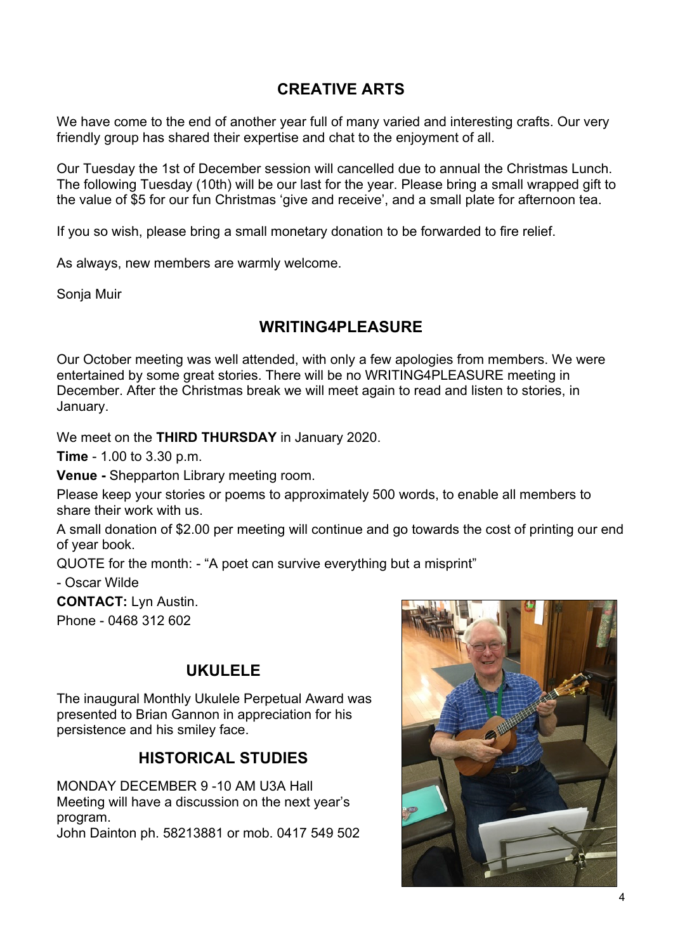#### **CREATIVE ARTS**

We have come to the end of another year full of many varied and interesting crafts. Our very friendly group has shared their expertise and chat to the enjoyment of all.

Our Tuesday the 1st of December session will cancelled due to annual the Christmas Lunch. The following Tuesday (10th) will be our last for the year. Please bring a small wrapped gift to the value of \$5 for our fun Christmas 'give and receive', and a small plate for afternoon tea.

If you so wish, please bring a small monetary donation to be forwarded to fire relief.

As always, new members are warmly welcome.

Sonja Muir

#### **WRITING4PLEASURE**

Our October meeting was well attended, with only a few apologies from members. We were entertained by some great stories. There will be no WRITING4PLEASURE meeting in December. After the Christmas break we will meet again to read and listen to stories, in January.

We meet on the **THIRD THURSDAY** in January 2020.

**Time** - 1.00 to 3.30 p.m.

**Venue -** Shepparton Library meeting room.

Please keep your stories or poems to approximately 500 words, to enable all members to share their work with us.

A small donation of \$2.00 per meeting will continue and go towards the cost of printing our end of year book.

QUOTE for the month: - "A poet can survive everything but a misprint"

- Oscar Wilde

**CONTACT:** Lyn Austin.

Phone - 0468 312 602

#### **UKULELE**

The inaugural Monthly Ukulele Perpetual Award was presented to Brian Gannon in appreciation for his persistence and his smiley face.

#### **HISTORICAL STUDIES**

MONDAY DECEMBER 9 -10 AM U3A Hall Meeting will have a discussion on the next year's program.

John Dainton ph. 58213881 or mob. 0417 549 502

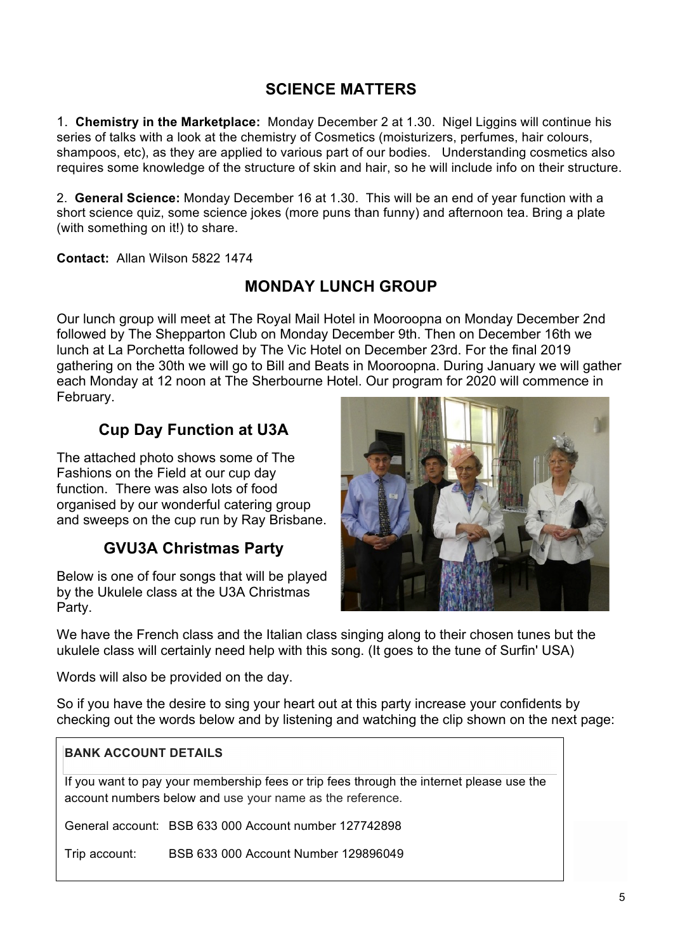#### **SCIENCE MATTERS**

1. **Chemistry in the Marketplace:** Monday December 2 at 1.30. Nigel Liggins will continue his series of talks with a look at the chemistry of Cosmetics (moisturizers, perfumes, hair colours, shampoos, etc), as they are applied to various part of our bodies. Understanding cosmetics also requires some knowledge of the structure of skin and hair, so he will include info on their structure.

2. **General Science:** Monday December 16 at 1.30. This will be an end of year function with a short science quiz, some science jokes (more puns than funny) and afternoon tea. Bring a plate (with something on it!) to share.

**Contact:** Allan Wilson 5822 1474

#### **MONDAY LUNCH GROUP**

Our lunch group will meet at The Royal Mail Hotel in Mooroopna on Monday December 2nd followed by The Shepparton Club on Monday December 9th. Then on December 16th we lunch at La Porchetta followed by The Vic Hotel on December 23rd. For the final 2019 gathering on the 30th we will go to Bill and Beats in Mooroopna. During January we will gather each Monday at 12 noon at The Sherbourne Hotel. Our program for 2020 will commence in February.

#### **Cup Day Function at U3A**

The attached photo shows some of The Fashions on the Field at our cup day function. There was also lots of food organised by our wonderful catering group and sweeps on the cup run by Ray Brisbane.

#### **GVU3A Christmas Party**

Below is one of four songs that will be played by the Ukulele class at the U3A Christmas Party.



We have the French class and the Italian class singing along to their chosen tunes but the ukulele class will certainly need help with this song. (It goes to the tune of Surfin' USA)

Words will also be provided on the day.

So if you have the desire to sing your heart out at this party increase your confidents by checking out the words below and by listening and watching the clip shown on the next page:

#### **BANK ACCOUNT DETAILS**

If you want to pay your membership fees or trip fees through the internet please use the account numbers below and use your name as the reference.

General account: BSB 633 000 Account number 127742898

Trip account: BSB 633 000 Account Number 129896049